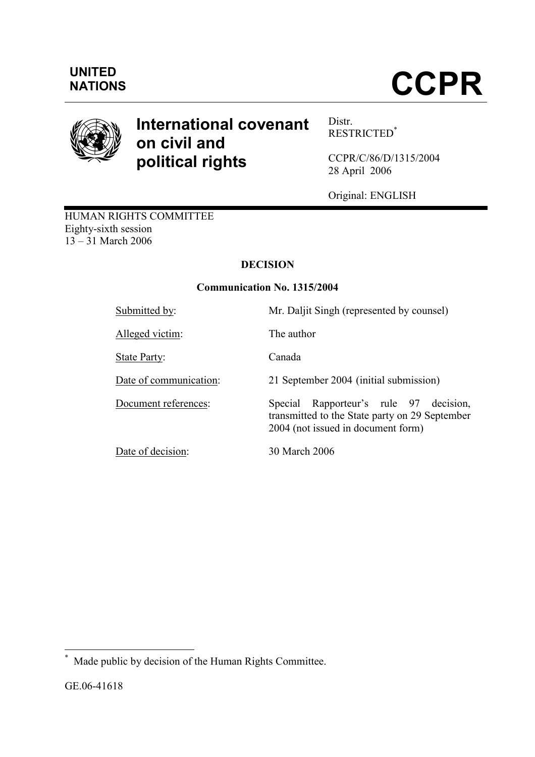

# International covenant on civil and political rights

Distr. RESTRICTED\*

CCPR/C/86/D/1315/2004 28 April 2006

Original: ENGLISH

HUMAN RIGHTS COMMITTEE Eighty-sixth session 13 – 31 March 2006

## DECISION

## Communication No. 1315/2004

| Submitted by:          | Mr. Daljit Singh (represented by counsel)                                                                                         |
|------------------------|-----------------------------------------------------------------------------------------------------------------------------------|
| Alleged victim:        | The author                                                                                                                        |
| <b>State Party:</b>    | Canada                                                                                                                            |
| Date of communication: | 21 September 2004 (initial submission)                                                                                            |
| Document references:   | Rapporteur's rule 97 decision,<br>Special<br>transmitted to the State party on 29 September<br>2004 (not issued in document form) |
| Date of decision:      | 30 March 2006                                                                                                                     |

 \* Made public by decision of the Human Rights Committee.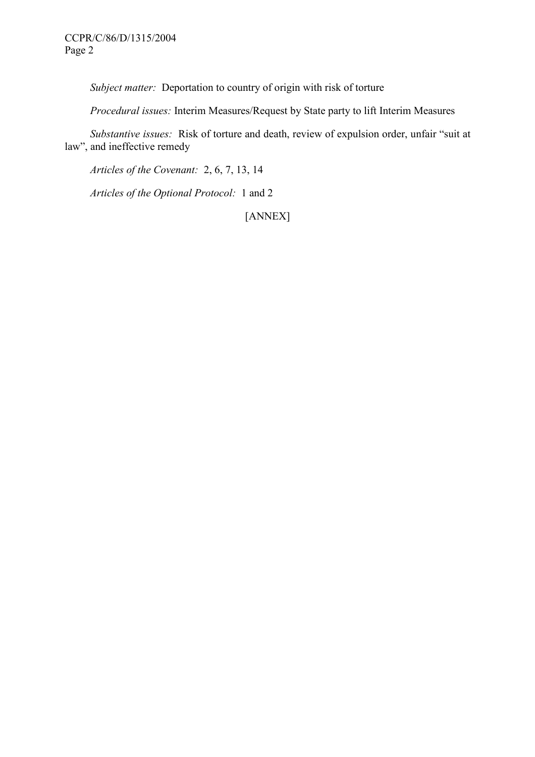Subject matter: Deportation to country of origin with risk of torture

Procedural issues: Interim Measures/Request by State party to lift Interim Measures

 Substantive issues: Risk of torture and death, review of expulsion order, unfair "suit at law", and ineffective remedy

Articles of the Covenant: 2, 6, 7, 13, 14

Articles of the Optional Protocol: 1 and 2

[ANNEX]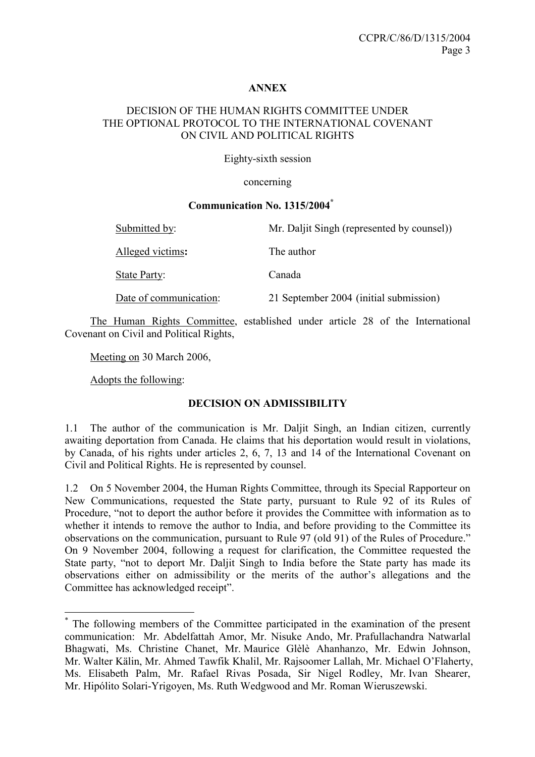## ANNEX

#### DECISION OF THE HUMAN RIGHTS COMMITTEE UNDER THE OPTIONAL PROTOCOL TO THE INTERNATIONAL COVENANT ON CIVIL AND POLITICAL RIGHTS

Eighty-sixth session

concerning

## Communication No. 1315/2004\*

| Submitted by:          | Mr. Daljit Singh (represented by counsel)) |
|------------------------|--------------------------------------------|
| Alleged victims:       | The author                                 |
| State Party:           | Canada                                     |
| Date of communication: | 21 September 2004 (initial submission)     |

 The Human Rights Committee, established under article 28 of the International Covenant on Civil and Political Rights,

Meeting on 30 March 2006,

Adopts the following:

 $\overline{a}$ 

#### DECISION ON ADMISSIBILITY

1.1 The author of the communication is Mr. Daljit Singh, an Indian citizen, currently awaiting deportation from Canada. He claims that his deportation would result in violations, by Canada, of his rights under articles 2, 6, 7, 13 and 14 of the International Covenant on Civil and Political Rights. He is represented by counsel.

1.2 On 5 November 2004, the Human Rights Committee, through its Special Rapporteur on New Communications, requested the State party, pursuant to Rule 92 of its Rules of Procedure, "not to deport the author before it provides the Committee with information as to whether it intends to remove the author to India, and before providing to the Committee its observations on the communication, pursuant to Rule 97 (old 91) of the Rules of Procedure." On 9 November 2004, following a request for clarification, the Committee requested the State party, "not to deport Mr. Daljit Singh to India before the State party has made its observations either on admissibility or the merits of the author's allegations and the Committee has acknowledged receipt".

<sup>\*</sup> The following members of the Committee participated in the examination of the present communication: Mr. Abdelfattah Amor, Mr. Nisuke Ando, Mr. Prafullachandra Natwarlal Bhagwati, Ms. Christine Chanet, Mr. Maurice Glèlè Ahanhanzo, Mr. Edwin Johnson, Mr. Walter Kälin, Mr. Ahmed Tawfik Khalil, Mr. Rajsoomer Lallah, Mr. Michael O'Flaherty, Ms. Elisabeth Palm, Mr. Rafael Rivas Posada, Sir Nigel Rodley, Mr. Ivan Shearer, Mr. Hipólito Solari-Yrigoyen, Ms. Ruth Wedgwood and Mr. Roman Wieruszewski.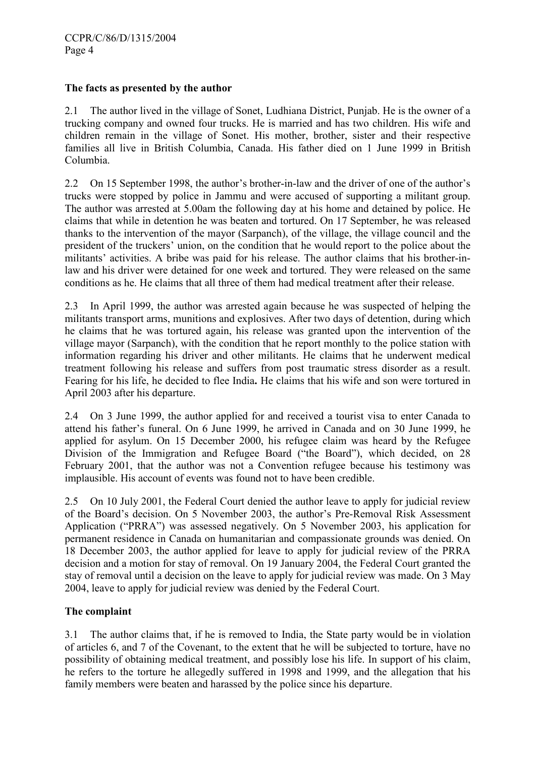#### The facts as presented by the author

2.1 The author lived in the village of Sonet, Ludhiana District, Punjab. He is the owner of a trucking company and owned four trucks. He is married and has two children. His wife and children remain in the village of Sonet. His mother, brother, sister and their respective families all live in British Columbia, Canada. His father died on 1 June 1999 in British Columbia.

2.2 On 15 September 1998, the author's brother-in-law and the driver of one of the author's trucks were stopped by police in Jammu and were accused of supporting a militant group. The author was arrested at 5.00am the following day at his home and detained by police. He claims that while in detention he was beaten and tortured. On 17 September, he was released thanks to the intervention of the mayor (Sarpanch), of the village, the village council and the president of the truckers' union, on the condition that he would report to the police about the militants' activities. A bribe was paid for his release. The author claims that his brother-inlaw and his driver were detained for one week and tortured. They were released on the same conditions as he. He claims that all three of them had medical treatment after their release.

2.3 In April 1999, the author was arrested again because he was suspected of helping the militants transport arms, munitions and explosives. After two days of detention, during which he claims that he was tortured again, his release was granted upon the intervention of the village mayor (Sarpanch), with the condition that he report monthly to the police station with information regarding his driver and other militants. He claims that he underwent medical treatment following his release and suffers from post traumatic stress disorder as a result. Fearing for his life, he decided to flee India. He claims that his wife and son were tortured in April 2003 after his departure.

2.4 On 3 June 1999, the author applied for and received a tourist visa to enter Canada to attend his father's funeral. On 6 June 1999, he arrived in Canada and on 30 June 1999, he applied for asylum. On 15 December 2000, his refugee claim was heard by the Refugee Division of the Immigration and Refugee Board ("the Board"), which decided, on 28 February 2001, that the author was not a Convention refugee because his testimony was implausible. His account of events was found not to have been credible.

2.5 On 10 July 2001, the Federal Court denied the author leave to apply for judicial review of the Board's decision. On 5 November 2003, the author's Pre-Removal Risk Assessment Application ("PRRA") was assessed negatively. On 5 November 2003, his application for permanent residence in Canada on humanitarian and compassionate grounds was denied. On 18 December 2003, the author applied for leave to apply for judicial review of the PRRA decision and a motion for stay of removal. On 19 January 2004, the Federal Court granted the stay of removal until a decision on the leave to apply for judicial review was made. On 3 May 2004, leave to apply for judicial review was denied by the Federal Court.

## The complaint

3.1 The author claims that, if he is removed to India, the State party would be in violation of articles 6, and 7 of the Covenant, to the extent that he will be subjected to torture, have no possibility of obtaining medical treatment, and possibly lose his life. In support of his claim, he refers to the torture he allegedly suffered in 1998 and 1999, and the allegation that his family members were beaten and harassed by the police since his departure.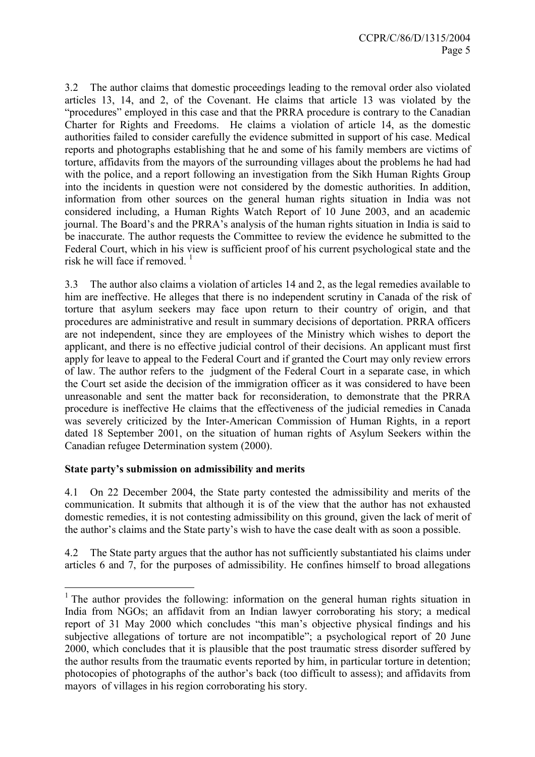3.2 The author claims that domestic proceedings leading to the removal order also violated articles 13, 14, and 2, of the Covenant. He claims that article 13 was violated by the "procedures" employed in this case and that the PRRA procedure is contrary to the Canadian Charter for Rights and Freedoms. He claims a violation of article 14, as the domestic authorities failed to consider carefully the evidence submitted in support of his case. Medical reports and photographs establishing that he and some of his family members are victims of torture, affidavits from the mayors of the surrounding villages about the problems he had had with the police, and a report following an investigation from the Sikh Human Rights Group into the incidents in question were not considered by the domestic authorities. In addition, information from other sources on the general human rights situation in India was not considered including, a Human Rights Watch Report of 10 June 2003, and an academic journal. The Board's and the PRRA's analysis of the human rights situation in India is said to be inaccurate. The author requests the Committee to review the evidence he submitted to the Federal Court, which in his view is sufficient proof of his current psychological state and the risk he will face if removed.  $\frac{1}{1}$ 

3.3 The author also claims a violation of articles 14 and 2, as the legal remedies available to him are ineffective. He alleges that there is no independent scrutiny in Canada of the risk of torture that asylum seekers may face upon return to their country of origin, and that procedures are administrative and result in summary decisions of deportation. PRRA officers are not independent, since they are employees of the Ministry which wishes to deport the applicant, and there is no effective judicial control of their decisions. An applicant must first apply for leave to appeal to the Federal Court and if granted the Court may only review errors of law. The author refers to the judgment of the Federal Court in a separate case, in which the Court set aside the decision of the immigration officer as it was considered to have been unreasonable and sent the matter back for reconsideration, to demonstrate that the PRRA procedure is ineffective He claims that the effectiveness of the judicial remedies in Canada was severely criticized by the Inter-American Commission of Human Rights, in a report dated 18 September 2001, on the situation of human rights of Asylum Seekers within the Canadian refugee Determination system (2000).

## State party's submission on admissibility and merits

 $\overline{a}$ 

4.1 On 22 December 2004, the State party contested the admissibility and merits of the communication. It submits that although it is of the view that the author has not exhausted domestic remedies, it is not contesting admissibility on this ground, given the lack of merit of the author's claims and the State party's wish to have the case dealt with as soon a possible.

4.2 The State party argues that the author has not sufficiently substantiated his claims under articles 6 and 7, for the purposes of admissibility. He confines himself to broad allegations

<sup>&</sup>lt;sup>1</sup> The author provides the following: information on the general human rights situation in India from NGOs; an affidavit from an Indian lawyer corroborating his story; a medical report of 31 May 2000 which concludes "this man's objective physical findings and his subjective allegations of torture are not incompatible"; a psychological report of 20 June 2000, which concludes that it is plausible that the post traumatic stress disorder suffered by the author results from the traumatic events reported by him, in particular torture in detention; photocopies of photographs of the author's back (too difficult to assess); and affidavits from mayors of villages in his region corroborating his story.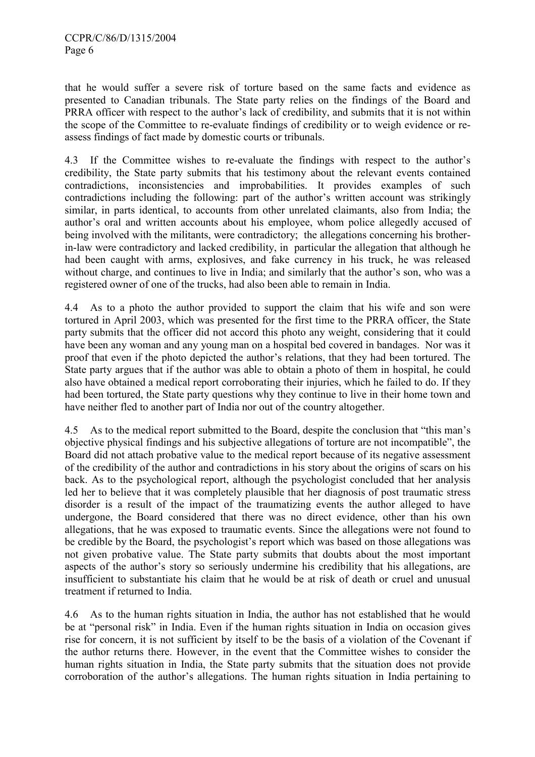that he would suffer a severe risk of torture based on the same facts and evidence as presented to Canadian tribunals. The State party relies on the findings of the Board and PRRA officer with respect to the author's lack of credibility, and submits that it is not within the scope of the Committee to re-evaluate findings of credibility or to weigh evidence or reassess findings of fact made by domestic courts or tribunals.

4.3 If the Committee wishes to re-evaluate the findings with respect to the author's credibility, the State party submits that his testimony about the relevant events contained contradictions, inconsistencies and improbabilities. It provides examples of such contradictions including the following: part of the author's written account was strikingly similar, in parts identical, to accounts from other unrelated claimants, also from India; the author's oral and written accounts about his employee, whom police allegedly accused of being involved with the militants, were contradictory; the allegations concerning his brotherin-law were contradictory and lacked credibility, in particular the allegation that although he had been caught with arms, explosives, and fake currency in his truck, he was released without charge, and continues to live in India; and similarly that the author's son, who was a registered owner of one of the trucks, had also been able to remain in India.

4.4 As to a photo the author provided to support the claim that his wife and son were tortured in April 2003, which was presented for the first time to the PRRA officer, the State party submits that the officer did not accord this photo any weight, considering that it could have been any woman and any young man on a hospital bed covered in bandages. Nor was it proof that even if the photo depicted the author's relations, that they had been tortured. The State party argues that if the author was able to obtain a photo of them in hospital, he could also have obtained a medical report corroborating their injuries, which he failed to do. If they had been tortured, the State party questions why they continue to live in their home town and have neither fled to another part of India nor out of the country altogether.

4.5 As to the medical report submitted to the Board, despite the conclusion that "this man's objective physical findings and his subjective allegations of torture are not incompatible", the Board did not attach probative value to the medical report because of its negative assessment of the credibility of the author and contradictions in his story about the origins of scars on his back. As to the psychological report, although the psychologist concluded that her analysis led her to believe that it was completely plausible that her diagnosis of post traumatic stress disorder is a result of the impact of the traumatizing events the author alleged to have undergone, the Board considered that there was no direct evidence, other than his own allegations, that he was exposed to traumatic events. Since the allegations were not found to be credible by the Board, the psychologist's report which was based on those allegations was not given probative value. The State party submits that doubts about the most important aspects of the author's story so seriously undermine his credibility that his allegations, are insufficient to substantiate his claim that he would be at risk of death or cruel and unusual treatment if returned to India.

4.6 As to the human rights situation in India, the author has not established that he would be at "personal risk" in India. Even if the human rights situation in India on occasion gives rise for concern, it is not sufficient by itself to be the basis of a violation of the Covenant if the author returns there. However, in the event that the Committee wishes to consider the human rights situation in India, the State party submits that the situation does not provide corroboration of the author's allegations. The human rights situation in India pertaining to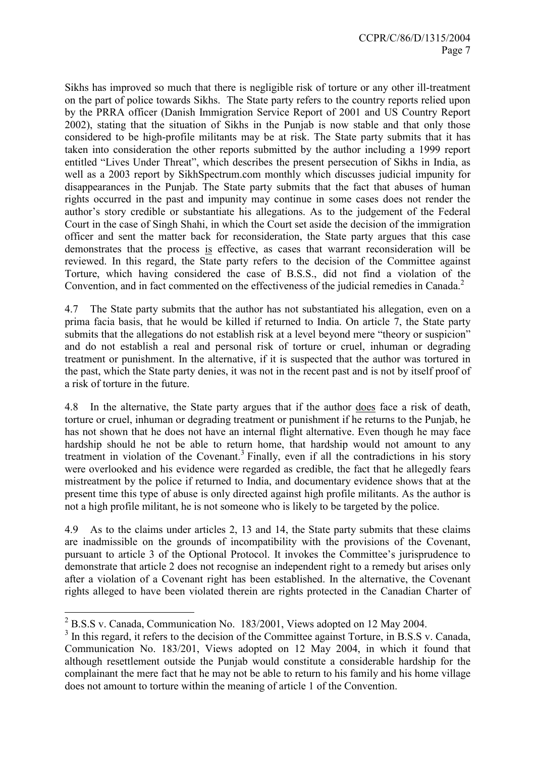Sikhs has improved so much that there is negligible risk of torture or any other ill-treatment on the part of police towards Sikhs. The State party refers to the country reports relied upon by the PRRA officer (Danish Immigration Service Report of 2001 and US Country Report 2002), stating that the situation of Sikhs in the Punjab is now stable and that only those considered to be high-profile militants may be at risk. The State party submits that it has taken into consideration the other reports submitted by the author including a 1999 report entitled "Lives Under Threat", which describes the present persecution of Sikhs in India, as well as a 2003 report by SikhSpectrum.com monthly which discusses judicial impunity for disappearances in the Punjab. The State party submits that the fact that abuses of human rights occurred in the past and impunity may continue in some cases does not render the author's story credible or substantiate his allegations. As to the judgement of the Federal Court in the case of Singh Shahi, in which the Court set aside the decision of the immigration officer and sent the matter back for reconsideration, the State party argues that this case demonstrates that the process is effective, as cases that warrant reconsideration will be reviewed. In this regard, the State party refers to the decision of the Committee against Torture, which having considered the case of B.S.S., did not find a violation of the Convention, and in fact commented on the effectiveness of the judicial remedies in Canada.<sup>2</sup>

4.7 The State party submits that the author has not substantiated his allegation, even on a prima facia basis, that he would be killed if returned to India. On article 7, the State party submits that the allegations do not establish risk at a level beyond mere "theory or suspicion" and do not establish a real and personal risk of torture or cruel, inhuman or degrading treatment or punishment. In the alternative, if it is suspected that the author was tortured in the past, which the State party denies, it was not in the recent past and is not by itself proof of a risk of torture in the future.

4.8 In the alternative, the State party argues that if the author does face a risk of death, torture or cruel, inhuman or degrading treatment or punishment if he returns to the Punjab, he has not shown that he does not have an internal flight alternative. Even though he may face hardship should he not be able to return home, that hardship would not amount to any treatment in violation of the Covenant.<sup>3</sup> Finally, even if all the contradictions in his story were overlooked and his evidence were regarded as credible, the fact that he allegedly fears mistreatment by the police if returned to India, and documentary evidence shows that at the present time this type of abuse is only directed against high profile militants. As the author is not a high profile militant, he is not someone who is likely to be targeted by the police.

4.9 As to the claims under articles 2, 13 and 14, the State party submits that these claims are inadmissible on the grounds of incompatibility with the provisions of the Covenant, pursuant to article 3 of the Optional Protocol. It invokes the Committee's jurisprudence to demonstrate that article 2 does not recognise an independent right to a remedy but arises only after a violation of a Covenant right has been established. In the alternative, the Covenant rights alleged to have been violated therein are rights protected in the Canadian Charter of

<sup>&</sup>lt;sup>2</sup> B.S.S v. Canada, Communication No. 183/2001, Views adopted on 12 May 2004.

 $3$  In this regard, it refers to the decision of the Committee against Torture, in B.S.S v. Canada, Communication No. 183/201, Views adopted on 12 May 2004, in which it found that although resettlement outside the Punjab would constitute a considerable hardship for the complainant the mere fact that he may not be able to return to his family and his home village does not amount to torture within the meaning of article 1 of the Convention.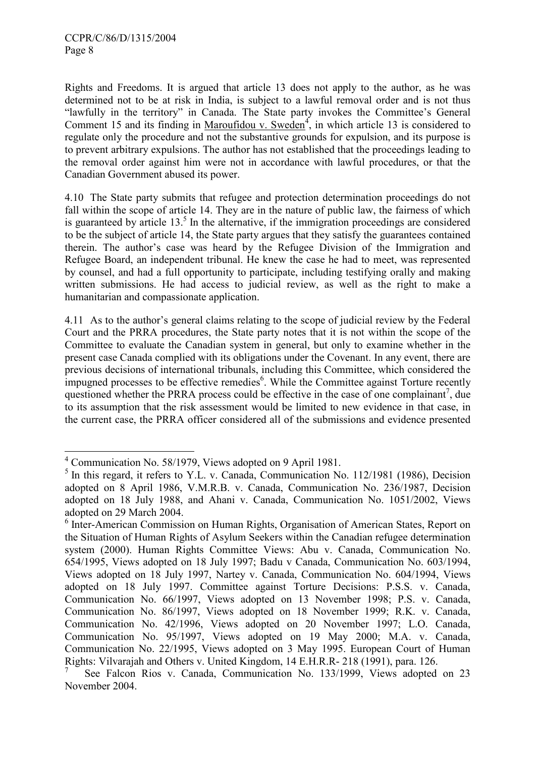Rights and Freedoms. It is argued that article 13 does not apply to the author, as he was determined not to be at risk in India, is subject to a lawful removal order and is not thus "lawfully in the territory" in Canada. The State party invokes the Committee's General Comment 15 and its finding in Maroufidou v. Sweden<sup>4</sup>, in which article 13 is considered to regulate only the procedure and not the substantive grounds for expulsion, and its purpose is to prevent arbitrary expulsions. The author has not established that the proceedings leading to the removal order against him were not in accordance with lawful procedures, or that the Canadian Government abused its power.

4.10 The State party submits that refugee and protection determination proceedings do not fall within the scope of article 14. They are in the nature of public law, the fairness of which is guaranteed by article  $13<sup>5</sup>$  In the alternative, if the immigration proceedings are considered to be the subject of article 14, the State party argues that they satisfy the guarantees contained therein. The author's case was heard by the Refugee Division of the Immigration and Refugee Board, an independent tribunal. He knew the case he had to meet, was represented by counsel, and had a full opportunity to participate, including testifying orally and making written submissions. He had access to judicial review, as well as the right to make a humanitarian and compassionate application.

4.11 As to the author's general claims relating to the scope of judicial review by the Federal Court and the PRRA procedures, the State party notes that it is not within the scope of the Committee to evaluate the Canadian system in general, but only to examine whether in the present case Canada complied with its obligations under the Covenant. In any event, there are previous decisions of international tribunals, including this Committee, which considered the impugned processes to be effective remedies<sup>6</sup>. While the Committee against Torture recently questioned whether the PRRA process could be effective in the case of one complainant<sup>7</sup>, due to its assumption that the risk assessment would be limited to new evidence in that case, in the current case, the PRRA officer considered all of the submissions and evidence presented

 4 Communication No. 58/1979, Views adopted on 9 April 1981.

<sup>&</sup>lt;sup>5</sup> In this regard, it refers to Y.L. v. Canada, Communication No. 112/1981 (1986), Decision adopted on 8 April 1986, V.M.R.B. v. Canada, Communication No. 236/1987, Decision adopted on 18 July 1988, and Ahani v. Canada, Communication No. 1051/2002, Views adopted on 29 March 2004.

<sup>&</sup>lt;sup>6</sup> Inter-American Commission on Human Rights, Organisation of American States, Report on the Situation of Human Rights of Asylum Seekers within the Canadian refugee determination system (2000). Human Rights Committee Views: Abu v. Canada, Communication No. 654/1995, Views adopted on 18 July 1997; Badu v Canada, Communication No. 603/1994, Views adopted on 18 July 1997, Nartey v. Canada, Communication No. 604/1994, Views adopted on 18 July 1997. Committee against Torture Decisions: P.S.S. v. Canada, Communication No. 66/1997, Views adopted on 13 November 1998; P.S. v. Canada, Communication No. 86/1997, Views adopted on 18 November 1999; R.K. v. Canada, Communication No. 42/1996, Views adopted on 20 November 1997; L.O. Canada, Communication No. 95/1997, Views adopted on 19 May 2000; M.A. v. Canada, Communication No. 22/1995, Views adopted on 3 May 1995. European Court of Human Rights: Vilvarajah and Others v. United Kingdom, 14 E.H.R.R- 218 (1991), para. 126.

<sup>7</sup> See Falcon Rios v. Canada, Communication No. 133/1999, Views adopted on 23 November 2004.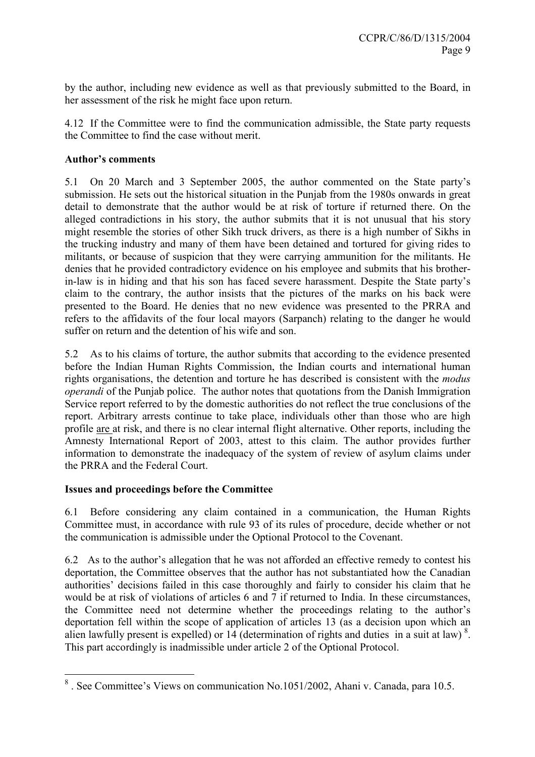by the author, including new evidence as well as that previously submitted to the Board, in her assessment of the risk he might face upon return.

4.12 If the Committee were to find the communication admissible, the State party requests the Committee to find the case without merit.

## Author's comments

5.1 On 20 March and 3 September 2005, the author commented on the State party's submission. He sets out the historical situation in the Punjab from the 1980s onwards in great detail to demonstrate that the author would be at risk of torture if returned there. On the alleged contradictions in his story, the author submits that it is not unusual that his story might resemble the stories of other Sikh truck drivers, as there is a high number of Sikhs in the trucking industry and many of them have been detained and tortured for giving rides to militants, or because of suspicion that they were carrying ammunition for the militants. He denies that he provided contradictory evidence on his employee and submits that his brotherin-law is in hiding and that his son has faced severe harassment. Despite the State party's claim to the contrary, the author insists that the pictures of the marks on his back were presented to the Board. He denies that no new evidence was presented to the PRRA and refers to the affidavits of the four local mayors (Sarpanch) relating to the danger he would suffer on return and the detention of his wife and son.

5.2 As to his claims of torture, the author submits that according to the evidence presented before the Indian Human Rights Commission, the Indian courts and international human rights organisations, the detention and torture he has described is consistent with the modus operandi of the Punjab police. The author notes that quotations from the Danish Immigration Service report referred to by the domestic authorities do not reflect the true conclusions of the report. Arbitrary arrests continue to take place, individuals other than those who are high profile are at risk, and there is no clear internal flight alternative. Other reports, including the Amnesty International Report of 2003, attest to this claim. The author provides further information to demonstrate the inadequacy of the system of review of asylum claims under the PRRA and the Federal Court.

## Issues and proceedings before the Committee

6.1 Before considering any claim contained in a communication, the Human Rights Committee must, in accordance with rule 93 of its rules of procedure, decide whether or not the communication is admissible under the Optional Protocol to the Covenant.

6.2 As to the author's allegation that he was not afforded an effective remedy to contest his deportation, the Committee observes that the author has not substantiated how the Canadian authorities' decisions failed in this case thoroughly and fairly to consider his claim that he would be at risk of violations of articles 6 and 7 if returned to India. In these circumstances, the Committee need not determine whether the proceedings relating to the author's deportation fell within the scope of application of articles 13 (as a decision upon which an alien lawfully present is expelled) or  $14$  (determination of rights and duties in a suit at law)<sup>8</sup>. This part accordingly is inadmissible under article 2 of the Optional Protocol.

 $\overline{a}$ <sup>8</sup>. See Committee's Views on communication No.1051/2002, Ahani v. Canada, para 10.5.